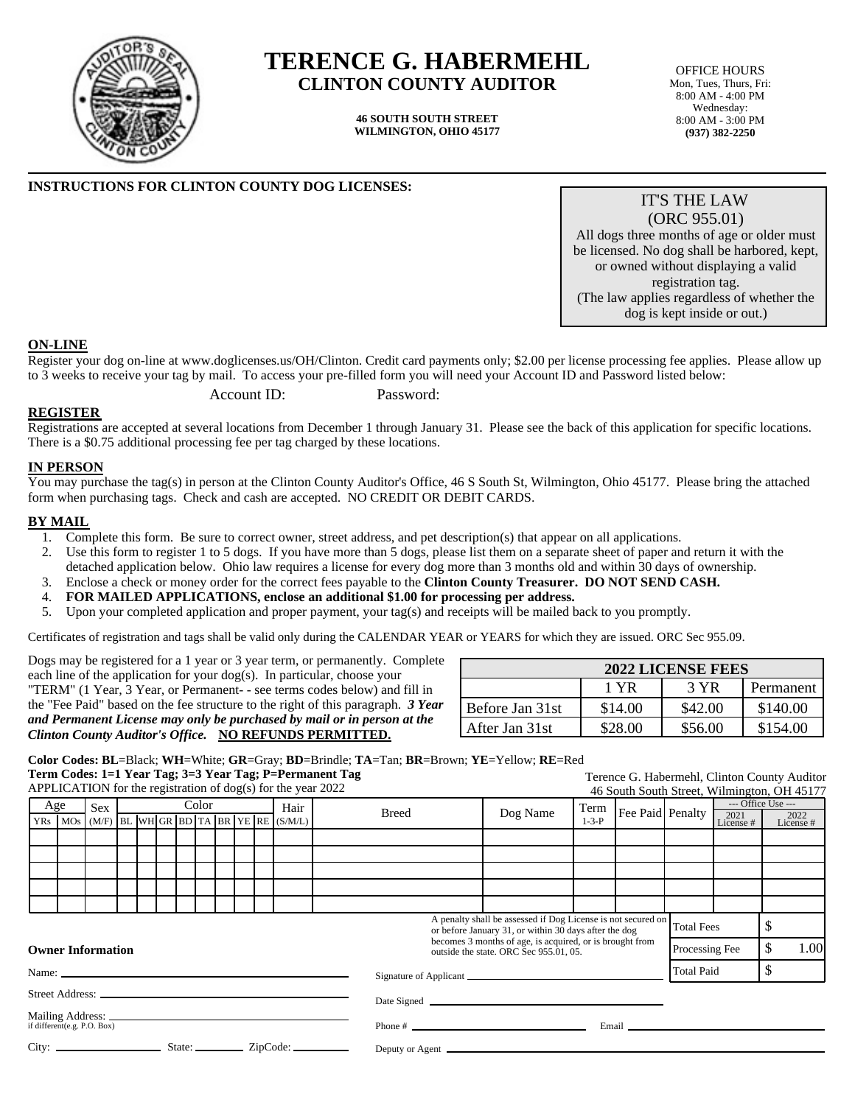

# **TERENCE G. HABERMEHL CLINTON COUNTY AUDITOR**

**46 SOUTH SOUTH STREET WILMINGTON, OHIO 45177**

OFFICE HOURS Mon, Tues, Thurs, Fri: 8:00 AM - 4:00 PM Wednesday: 8:00 AM - 3:00 PM **(937) 382-2250**

## **INSTRUCTIONS FOR CLINTON COUNTY DOG LICENSES:**

IT'S THE LAW (ORC 955.01) All dogs three months of age or older must be licensed. No dog shall be harbored, kept, or owned without displaying a valid registration tag.

(The law applies regardless of whether the dog is kept inside or out.)

#### **ON-LINE**

Register your dog on-line at www.doglicenses.us/OH/Clinton. Credit card payments only; \$2.00 per license processing fee applies. Please allow up to 3 weeks to receive your tag by mail. To access your pre-filled form you will need your Account ID and Password listed below:

Account ID: Password:

#### **REGISTER**

Registrations are accepted at several locations from December 1 through January 31. Please see the back of this application for specific locations. There is a \$0.75 additional processing fee per tag charged by these locations.

### **IN PERSON**

You may purchase the tag(s) in person at the Clinton County Auditor's Office, 46 S South St, Wilmington, Ohio 45177. Please bring the attached form when purchasing tags. Check and cash are accepted. NO CREDIT OR DEBIT CARDS.

#### **BY MAIL**

- 1. Complete this form. Be sure to correct owner, street address, and pet description(s) that appear on all applications.
- 2. Use this form to register 1 to 5 dogs. If you have more than 5 dogs, please list them on a separate sheet of paper and return it with the detached application below. Ohio law requires a license for every dog more than 3 months old and within 30 days of ownership.
- 3. Enclose a check or money order for the correct fees payable to the **Clinton County Treasurer. DO NOT SEND CASH.**
- 4. **FOR MAILED APPLICATIONS, enclose an additional \$1.00 for processing per address.**
- 5. Upon your completed application and proper payment, your tag(s) and receipts will be mailed back to you promptly.

Certificates of registration and tags shall be valid only during the CALENDAR YEAR or YEARS for which they are issued. ORC Sec 955.09.

Dogs may be registered for a 1 year or 3 year term, or permanently. Complete each line of the application for your dog(s). In particular, choose your "TERM" (1 Year, 3 Year, or Permanent- - see terms codes below) and fill in the "Fee Paid" based on the fee structure to the right of this paragraph. *3 Year and Permanent License may only be purchased by mail or in person at the Clinton County Auditor's Office.* **NO REFUNDS PERMITTED.**

| <b>2022 LICENSE FEES</b> |         |         |           |
|--------------------------|---------|---------|-----------|
|                          | 1 YR    | 3 YR    | Permanent |
| Before Jan 31st          | \$14.00 | \$42.00 | \$140.00  |
| After Jan 31st           | \$28.00 | \$56.00 | \$154.00  |

**Color Codes: BL**=Black; **WH**=White; **GR**=Gray; **BD**=Brindle; **TA**=Tan; **BR**=Brown; **YE**=Yellow; **RE**=Red **Term Codes: 1=1 Year Tag; 3=3 Year Tag; P=Permanent Tag**

APPLICATION for the registration of dog(s) for the year 2022 Terence G. Habermehl, Clinton County Auditor 46 South South Street, Wilmington, OH 45177 Age YRs | MOs | (M/F) |BL |WH GR |BD | TA | BR | YE | RE Sex Color Hair (S/M/L) Breed Dog Name Term 1-3-P Fee Paid Penalty - Office Use -2021 License # 2022 License # Total Fees  $\frac{1}{8}$ Processing Fee  $\frac{1}{8}$  1.00 Total Paid \$ A penalty shall be assessed if Dog License is not secured on or before January 31, or within 30 days after the dog becomes 3 months of age, is acquired, or is brought from outside the state. ORC Sec 955.01, 05. Signature of Applicant Date Signed Phone # Email Deputy or Agent **Owner Information** Name:  $\overline{\phantom{0}}$ Street Address: Mailing Address: if different(e.g. P.O. Box) City: State: ZipCode: